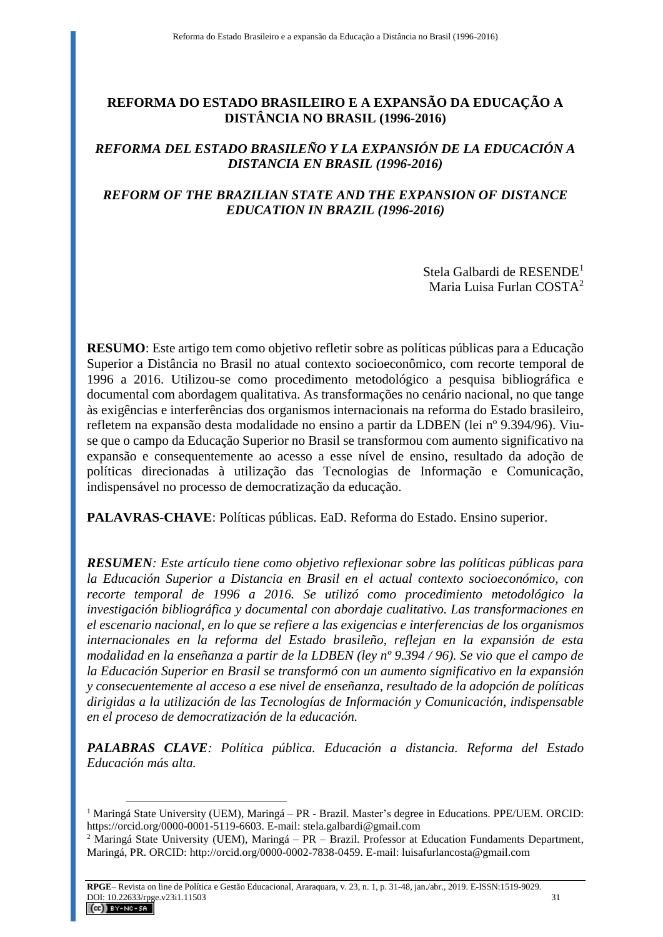# **REFORMA DO ESTADO BRASILEIRO E A EXPANSÃO DA EDUCAÇÃO A DISTÂNCIA NO BRASIL (1996-2016)**

## *REFORMA DEL ESTADO BRASILEÑO Y LA EXPANSIÓN DE LA EDUCACIÓN A DISTANCIA EN BRASIL (1996-2016)*

## *REFORM OF THE BRAZILIAN STATE AND THE EXPANSION OF DISTANCE EDUCATION IN BRAZIL (1996-2016)*

Stela Galbardi de RESENDE<sup>1</sup> Maria Luisa Furlan COSTA<sup>2</sup>

**RESUMO**: Este artigo tem como objetivo refletir sobre as políticas públicas para a Educação Superior a Distância no Brasil no atual contexto socioeconômico, com recorte temporal de 1996 a 2016. Utilizou-se como procedimento metodológico a pesquisa bibliográfica e documental com abordagem qualitativa. As transformações no cenário nacional, no que tange às exigências e interferências dos organismos internacionais na reforma do Estado brasileiro, refletem na expansão desta modalidade no ensino a partir da LDBEN (lei nº 9.394/96). Viuse que o campo da Educação Superior no Brasil se transformou com aumento significativo na expansão e consequentemente ao acesso a esse nível de ensino, resultado da adoção de políticas direcionadas à utilização das Tecnologias de Informação e Comunicação, indispensável no processo de democratização da educação.

**PALAVRAS-CHAVE**: Políticas públicas. EaD. Reforma do Estado. Ensino superior.

*RESUMEN: Este artículo tiene como objetivo reflexionar sobre las políticas públicas para la Educación Superior a Distancia en Brasil en el actual contexto socioeconómico, con recorte temporal de 1996 a 2016. Se utilizó como procedimiento metodológico la investigación bibliográfica y documental con abordaje cualitativo. Las transformaciones en el escenario nacional, en lo que se refiere a las exigencias e interferencias de los organismos internacionales en la reforma del Estado brasileño, reflejan en la expansión de esta modalidad en la enseñanza a partir de la LDBEN (ley nº 9.394 / 96). Se vio que el campo de la Educación Superior en Brasil se transformó con un aumento significativo en la expansión y consecuentemente al acceso a ese nivel de enseñanza, resultado de la adopción de políticas dirigidas a la utilización de las Tecnologías de Información y Comunicación, indispensable en el proceso de democratización de la educación.*

*PALABRAS CLAVE: Política pública. Educación a distancia. Reforma del Estado Educación más alta.*

<sup>1</sup> Maringá State University (UEM), Maringá – PR - Brazil. Master's degree in Educations. PPE/UEM. ORCID: [https://orcid.org/0000-0001-5119-6603.](https://orcid.org/0000-0001-5119-6603) E-mail: stela.galbardi@gmail.com

<sup>&</sup>lt;sup>2</sup> Maringá State University (UEM), Maringá – PR – Brazil. Professor at Education Fundaments Department, Maringá, PR. ORCID: [http://orcid.org/0000-0002-7838-0459.](http://orcid.org/0000-0002-7838-0459) E-mail: luisafurlancosta@gmail.com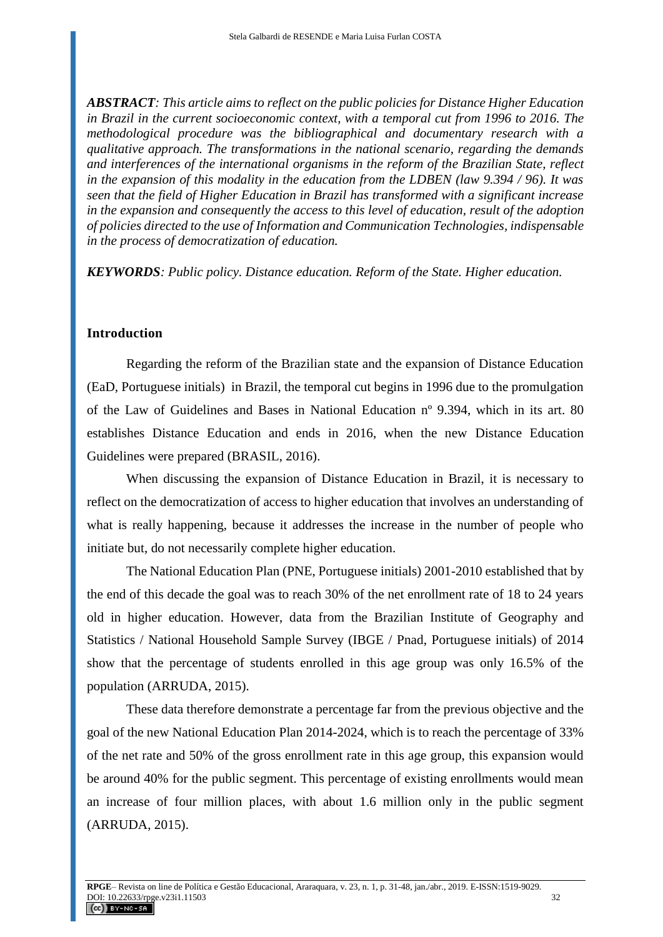*ABSTRACT: This article aims to reflect on the public policies for Distance Higher Education in Brazil in the current socioeconomic context, with a temporal cut from 1996 to 2016. The methodological procedure was the bibliographical and documentary research with a qualitative approach. The transformations in the national scenario, regarding the demands and interferences of the international organisms in the reform of the Brazilian State, reflect in the expansion of this modality in the education from the LDBEN (law 9.394 / 96). It was seen that the field of Higher Education in Brazil has transformed with a significant increase in the expansion and consequently the access to this level of education, result of the adoption of policies directed to the use of Information and Communication Technologies, indispensable in the process of democratization of education.*

*KEYWORDS: Public policy. Distance education. Reform of the State. Higher education.*

## **Introduction**

Regarding the reform of the Brazilian state and the expansion of Distance Education (EaD, Portuguese initials) in Brazil, the temporal cut begins in 1996 due to the promulgation of the Law of Guidelines and Bases in National Education nº 9.394, which in its art. 80 establishes Distance Education and ends in 2016, when the new Distance Education Guidelines were prepared (BRASIL, 2016).

When discussing the expansion of Distance Education in Brazil, it is necessary to reflect on the democratization of access to higher education that involves an understanding of what is really happening, because it addresses the increase in the number of people who initiate but, do not necessarily complete higher education.

The National Education Plan (PNE, Portuguese initials) 2001-2010 established that by the end of this decade the goal was to reach 30% of the net enrollment rate of 18 to 24 years old in higher education. However, data from the Brazilian Institute of Geography and Statistics / National Household Sample Survey (IBGE / Pnad, Portuguese initials) of 2014 show that the percentage of students enrolled in this age group was only 16.5% of the population (ARRUDA, 2015).

These data therefore demonstrate a percentage far from the previous objective and the goal of the new National Education Plan 2014-2024, which is to reach the percentage of 33% of the net rate and 50% of the gross enrollment rate in this age group, this expansion would be around 40% for the public segment. This percentage of existing enrollments would mean an increase of four million places, with about 1.6 million only in the public segment (ARRUDA, 2015).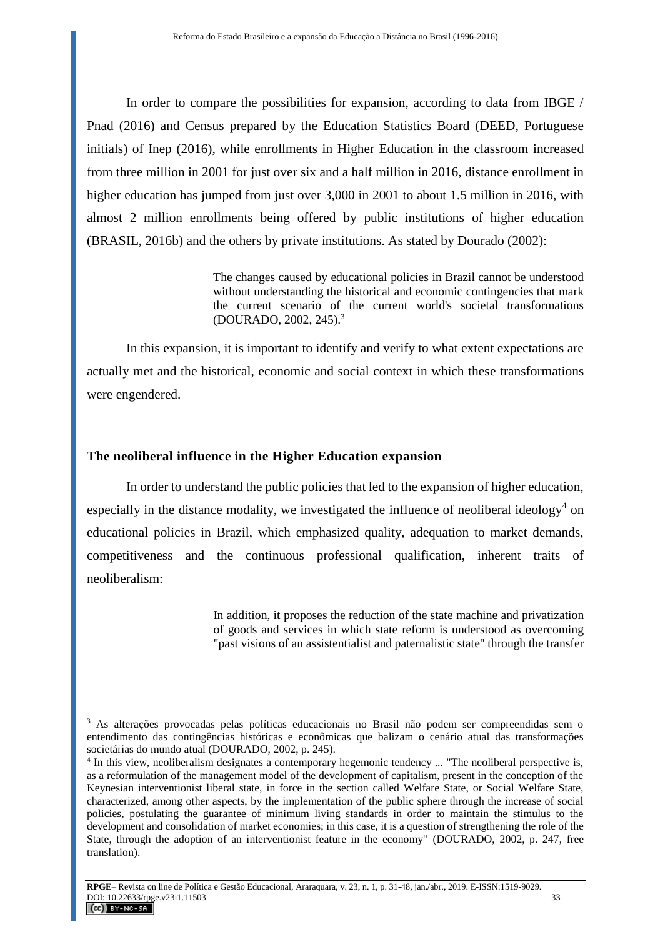In order to compare the possibilities for expansion, according to data from IBGE / Pnad (2016) and Census prepared by the Education Statistics Board (DEED, Portuguese initials) of Inep (2016), while enrollments in Higher Education in the classroom increased from three million in 2001 for just over six and a half million in 2016, distance enrollment in higher education has jumped from just over 3,000 in 2001 to about 1.5 million in 2016, with almost 2 million enrollments being offered by public institutions of higher education (BRASIL, 2016b) and the others by private institutions. As stated by Dourado (2002):

> The changes caused by educational policies in Brazil cannot be understood without understanding the historical and economic contingencies that mark the current scenario of the current world's societal transformations (DOURADO, 2002, 245).<sup>3</sup>

In this expansion, it is important to identify and verify to what extent expectations are actually met and the historical, economic and social context in which these transformations were engendered.

#### **The neoliberal influence in the Higher Education expansion**

 $\overline{a}$ 

In order to understand the public policies that led to the expansion of higher education, especially in the distance modality, we investigated the influence of neoliberal ideology<sup>4</sup> on educational policies in Brazil, which emphasized quality, adequation to market demands, competitiveness and the continuous professional qualification, inherent traits of neoliberalism:

> In addition, it proposes the reduction of the state machine and privatization of goods and services in which state reform is understood as overcoming "past visions of an assistentialist and paternalistic state" through the transfer

<sup>3</sup> As alterações provocadas pelas políticas educacionais no Brasil não podem ser compreendidas sem o entendimento das contingências históricas e econômicas que balizam o cenário atual das transformações societárias do mundo atual (DOURADO, 2002, p. 245).

<sup>4</sup> In this view, neoliberalism designates a contemporary hegemonic tendency ... "The neoliberal perspective is, as a reformulation of the management model of the development of capitalism, present in the conception of the Keynesian interventionist liberal state, in force in the section called Welfare State, or Social Welfare State, characterized, among other aspects, by the implementation of the public sphere through the increase of social policies, postulating the guarantee of minimum living standards in order to maintain the stimulus to the development and consolidation of market economies; in this case, it is a question of strengthening the role of the State, through the adoption of an interventionist feature in the economy" (DOURADO, 2002, p. 247, free translation).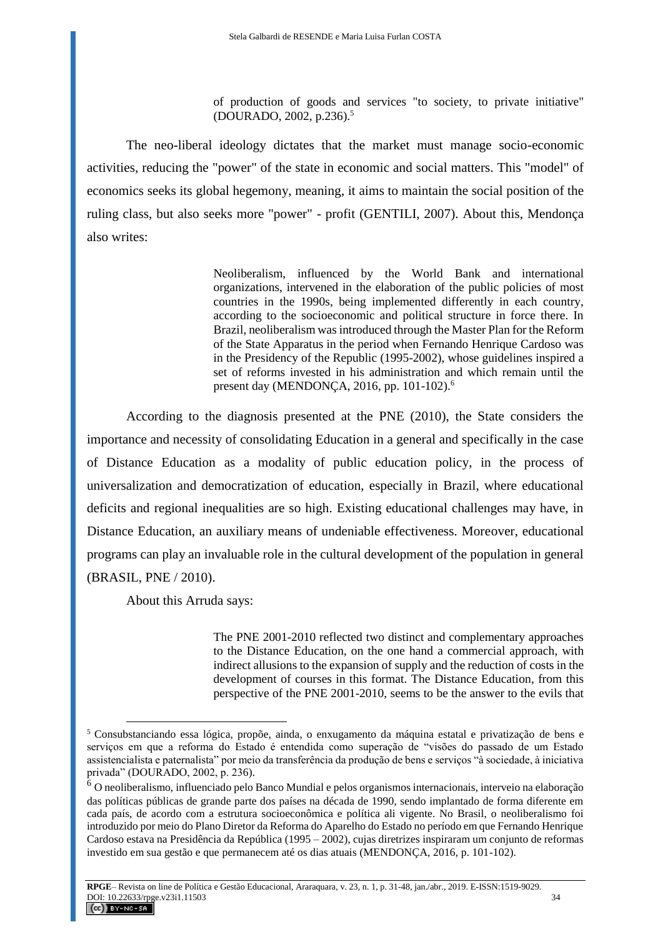of production of goods and services "to society, to private initiative" (DOURADO, 2002, p.236).<sup>5</sup>

The neo-liberal ideology dictates that the market must manage socio-economic activities, reducing the "power" of the state in economic and social matters. This "model" of economics seeks its global hegemony, meaning, it aims to maintain the social position of the ruling class, but also seeks more "power" - profit (GENTILI, 2007). About this, Mendonça also writes:

> Neoliberalism, influenced by the World Bank and international organizations, intervened in the elaboration of the public policies of most countries in the 1990s, being implemented differently in each country, according to the socioeconomic and political structure in force there. In Brazil, neoliberalism was introduced through the Master Plan for the Reform of the State Apparatus in the period when Fernando Henrique Cardoso was in the Presidency of the Republic (1995-2002), whose guidelines inspired a set of reforms invested in his administration and which remain until the present day (MENDONÇA, 2016, pp. 101-102).<sup>6</sup>

According to the diagnosis presented at the PNE (2010), the State considers the importance and necessity of consolidating Education in a general and specifically in the case of Distance Education as a modality of public education policy, in the process of universalization and democratization of education, especially in Brazil, where educational deficits and regional inequalities are so high. Existing educational challenges may have, in Distance Education, an auxiliary means of undeniable effectiveness. Moreover, educational programs can play an invaluable role in the cultural development of the population in general (BRASIL, PNE / 2010).

About this Arruda says:

 $\overline{a}$ 

The PNE 2001-2010 reflected two distinct and complementary approaches to the Distance Education, on the one hand a commercial approach, with indirect allusions to the expansion of supply and the reduction of costs in the development of courses in this format. The Distance Education, from this perspective of the PNE 2001-2010, seems to be the answer to the evils that

<sup>5</sup> Consubstanciando essa lógica, propõe, ainda, o enxugamento da máquina estatal e privatização de bens e serviços em que a reforma do Estado é entendida como superação de "visões do passado de um Estado assistencialista e paternalista" por meio da transferência da produção de bens e serviços "à sociedade, à iniciativa privada" (DOURADO, 2002, p. 236).

 $\hat{6}$  O neoliberalismo, influenciado pelo Banco Mundial e pelos organismos internacionais, interveio na elaboração das políticas públicas de grande parte dos países na década de 1990, sendo implantado de forma diferente em cada país, de acordo com a estrutura socioeconômica e política ali vigente. No Brasil, o neoliberalismo foi introduzido por meio do Plano Diretor da Reforma do Aparelho do Estado no período em que Fernando Henrique Cardoso estava na Presidência da República (1995 – 2002), cujas diretrizes inspiraram um conjunto de reformas investido em sua gestão e que permanecem até os dias atuais (MENDONÇA, 2016, p. 101-102).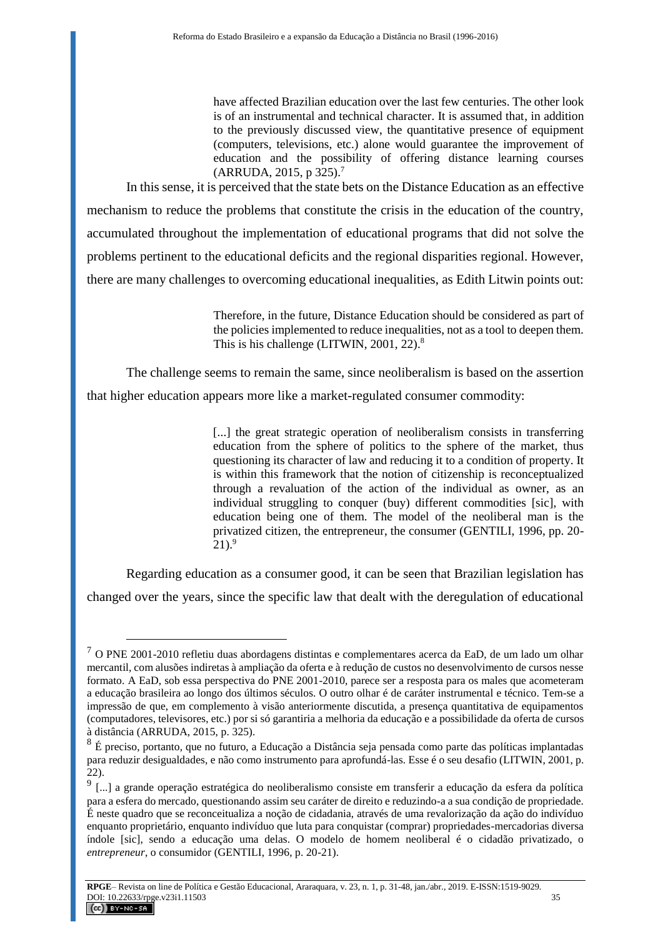have affected Brazilian education over the last few centuries. The other look is of an instrumental and technical character. It is assumed that, in addition to the previously discussed view, the quantitative presence of equipment (computers, televisions, etc.) alone would guarantee the improvement of education and the possibility of offering distance learning courses (ARRUDA, 2015, p 325).<sup>7</sup>

In this sense, it is perceived that the state bets on the Distance Education as an effective mechanism to reduce the problems that constitute the crisis in the education of the country, accumulated throughout the implementation of educational programs that did not solve the problems pertinent to the educational deficits and the regional disparities regional. However, there are many challenges to overcoming educational inequalities, as Edith Litwin points out:

> Therefore, in the future, Distance Education should be considered as part of the policies implemented to reduce inequalities, not as a tool to deepen them. This is his challenge (LITWIN, 2001, 22).<sup>8</sup>

The challenge seems to remain the same, since neoliberalism is based on the assertion that higher education appears more like a market-regulated consumer commodity:

> [...] the great strategic operation of neoliberalism consists in transferring education from the sphere of politics to the sphere of the market, thus questioning its character of law and reducing it to a condition of property. It is within this framework that the notion of citizenship is reconceptualized through a revaluation of the action of the individual as owner, as an individual struggling to conquer (buy) different commodities [sic], with education being one of them. The model of the neoliberal man is the privatized citizen, the entrepreneur, the consumer (GENTILI, 1996, pp. 20-  $21$ ).<sup>9</sup>

Regarding education as a consumer good, it can be seen that Brazilian legislation has changed over the years, since the specific law that dealt with the deregulation of educational

 $<sup>7</sup>$  O PNE 2001-2010 refletiu duas abordagens distintas e complementares acerca da EaD, de um lado um olhar</sup> mercantil, com alusões indiretas à ampliação da oferta e à redução de custos no desenvolvimento de cursos nesse formato. A EaD, sob essa perspectiva do PNE 2001-2010, parece ser a resposta para os males que acometeram a educação brasileira ao longo dos últimos séculos. O outro olhar é de caráter instrumental e técnico. Tem-se a impressão de que, em complemento à visão anteriormente discutida, a presença quantitativa de equipamentos (computadores, televisores, etc.) por si só garantiria a melhoria da educação e a possibilidade da oferta de cursos à distância (ARRUDA, 2015, p. 325).

<sup>8</sup> É preciso, portanto, que no futuro, a Educação a Distância seja pensada como parte das políticas implantadas para reduzir desigualdades, e não como instrumento para aprofundá-las. Esse é o seu desafio (LITWIN, 2001, p. 22).

<sup>&</sup>lt;sup>9</sup> [...] a grande operação estratégica do neoliberalismo consiste em transferir a educação da esfera da política para a esfera do mercado, questionando assim seu caráter de direito e reduzindo-a a sua condição de propriedade. É neste quadro que se reconceitualiza a noção de cidadania, através de uma revalorização da ação do indivíduo enquanto proprietário, enquanto indivíduo que luta para conquistar (comprar) propriedades-mercadorias diversa índole [sic], sendo a educação uma delas. O modelo de homem neoliberal é o cidadão privatizado, o *entrepreneur*, o consumidor (GENTILI, 1996, p. 20-21).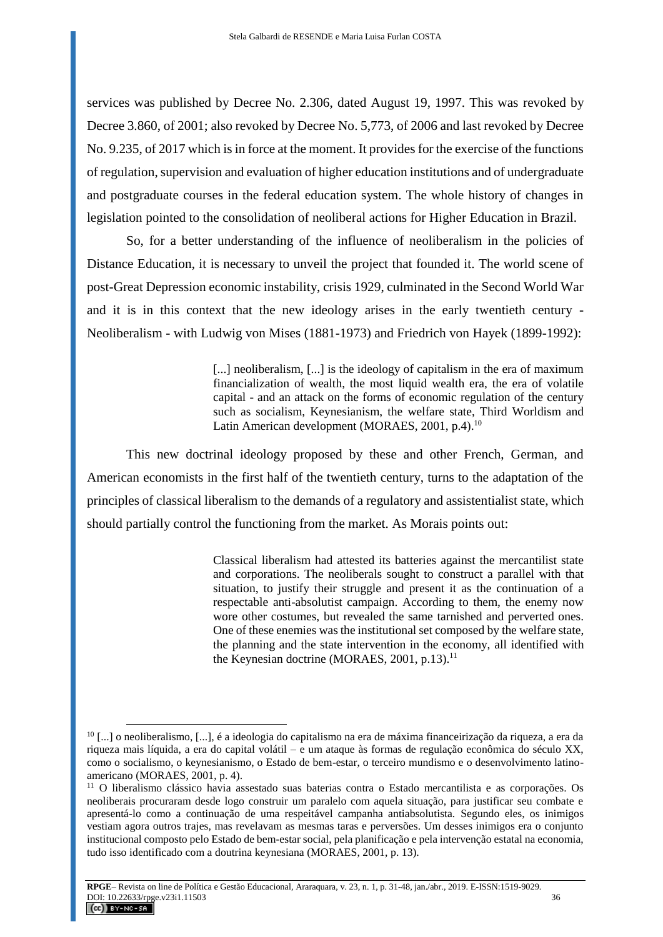services was published by Decree No. 2.306, dated August 19, 1997. This was revoked by Decree 3.860, of 2001; also revoked by Decree No. 5,773, of 2006 and last revoked by Decree No. 9.235, of 2017 which is in force at the moment. It provides for the exercise of the functions of regulation, supervision and evaluation of higher education institutions and of undergraduate and postgraduate courses in the federal education system. The whole history of changes in legislation pointed to the consolidation of neoliberal actions for Higher Education in Brazil.

So, for a better understanding of the influence of neoliberalism in the policies of Distance Education, it is necessary to unveil the project that founded it. The world scene of post-Great Depression economic instability, crisis 1929, culminated in the Second World War and it is in this context that the new ideology arises in the early twentieth century - Neoliberalism - with Ludwig von Mises (1881-1973) and Friedrich von Hayek (1899-1992):

> [...] neoliberalism, [...] is the ideology of capitalism in the era of maximum financialization of wealth, the most liquid wealth era, the era of volatile capital - and an attack on the forms of economic regulation of the century such as socialism, Keynesianism, the welfare state, Third Worldism and Latin American development (MORAES, 2001, p.4).<sup>10</sup>

This new doctrinal ideology proposed by these and other French, German, and American economists in the first half of the twentieth century, turns to the adaptation of the principles of classical liberalism to the demands of a regulatory and assistentialist state, which should partially control the functioning from the market. As Morais points out:

> Classical liberalism had attested its batteries against the mercantilist state and corporations. The neoliberals sought to construct a parallel with that situation, to justify their struggle and present it as the continuation of a respectable anti-absolutist campaign. According to them, the enemy now wore other costumes, but revealed the same tarnished and perverted ones. One of these enemies was the institutional set composed by the welfare state, the planning and the state intervention in the economy, all identified with the Keynesian doctrine (MORAES, 2001, p.13).<sup>11</sup>

<sup>10</sup> [...] o neoliberalismo, [...], é a ideologia do capitalismo na era de máxima financeirização da riqueza, a era da riqueza mais líquida, a era do capital volátil – e um ataque às formas de regulação econômica do século XX, como o socialismo, o keynesianismo, o Estado de bem-estar, o terceiro mundismo e o desenvolvimento latinoamericano (MORAES, 2001, p. 4).

<sup>11</sup> O liberalismo clássico havia assestado suas baterias contra o Estado mercantilista e as corporações. Os neoliberais procuraram desde logo construir um paralelo com aquela situação, para justificar seu combate e apresentá-lo como a continuação de uma respeitável campanha antiabsolutista. Segundo eles, os inimigos vestiam agora outros trajes, mas revelavam as mesmas taras e perversões. Um desses inimigos era o conjunto institucional composto pelo Estado de bem-estar social, pela planificação e pela intervenção estatal na economia, tudo isso identificado com a doutrina keynesiana (MORAES, 2001, p. 13).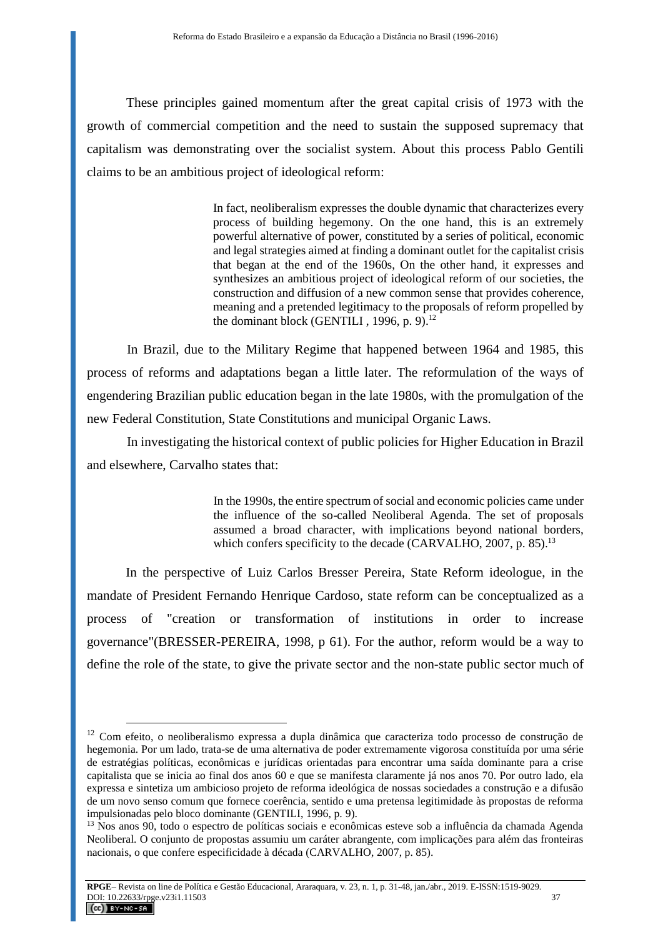These principles gained momentum after the great capital crisis of 1973 with the growth of commercial competition and the need to sustain the supposed supremacy that capitalism was demonstrating over the socialist system. About this process Pablo Gentili claims to be an ambitious project of ideological reform:

> In fact, neoliberalism expresses the double dynamic that characterizes every process of building hegemony. On the one hand, this is an extremely powerful alternative of power, constituted by a series of political, economic and legal strategies aimed at finding a dominant outlet for the capitalist crisis that began at the end of the 1960s, On the other hand, it expresses and synthesizes an ambitious project of ideological reform of our societies, the construction and diffusion of a new common sense that provides coherence, meaning and a pretended legitimacy to the proposals of reform propelled by the dominant block (GENTILI, 1996, p. 9).<sup>12</sup>

In Brazil, due to the Military Regime that happened between 1964 and 1985, this process of reforms and adaptations began a little later. The reformulation of the ways of engendering Brazilian public education began in the late 1980s, with the promulgation of the new Federal Constitution, State Constitutions and municipal Organic Laws.

In investigating the historical context of public policies for Higher Education in Brazil and elsewhere, Carvalho states that:

> In the 1990s, the entire spectrum of social and economic policies came under the influence of the so-called Neoliberal Agenda. The set of proposals assumed a broad character, with implications beyond national borders, which confers specificity to the decade (CARVALHO,  $2007$ , p. 85).<sup>13</sup>

In the perspective of Luiz Carlos Bresser Pereira, State Reform ideologue, in the mandate of President Fernando Henrique Cardoso, state reform can be conceptualized as a process of "creation or transformation of institutions in order to increase governance"(BRESSER-PEREIRA, 1998, p 61). For the author, reform would be a way to define the role of the state, to give the private sector and the non-state public sector much of

<sup>12</sup> Com efeito, o neoliberalismo expressa a dupla dinâmica que caracteriza todo processo de construção de hegemonia. Por um lado, trata-se de uma alternativa de poder extremamente vigorosa constituída por uma série de estratégias políticas, econômicas e jurídicas orientadas para encontrar uma saída dominante para a crise capitalista que se inicia ao final dos anos 60 e que se manifesta claramente já nos anos 70. Por outro lado, ela expressa e sintetiza um ambicioso projeto de reforma ideológica de nossas sociedades a construção e a difusão de um novo senso comum que fornece coerência, sentido e uma pretensa legitimidade às propostas de reforma impulsionadas pelo bloco dominante (GENTILI, 1996, p. 9).

<sup>13</sup> Nos anos 90, todo o espectro de políticas sociais e econômicas esteve sob a influência da chamada Agenda Neoliberal. O conjunto de propostas assumiu um caráter abrangente, com implicações para além das fronteiras nacionais, o que confere especificidade à década (CARVALHO, 2007, p. 85).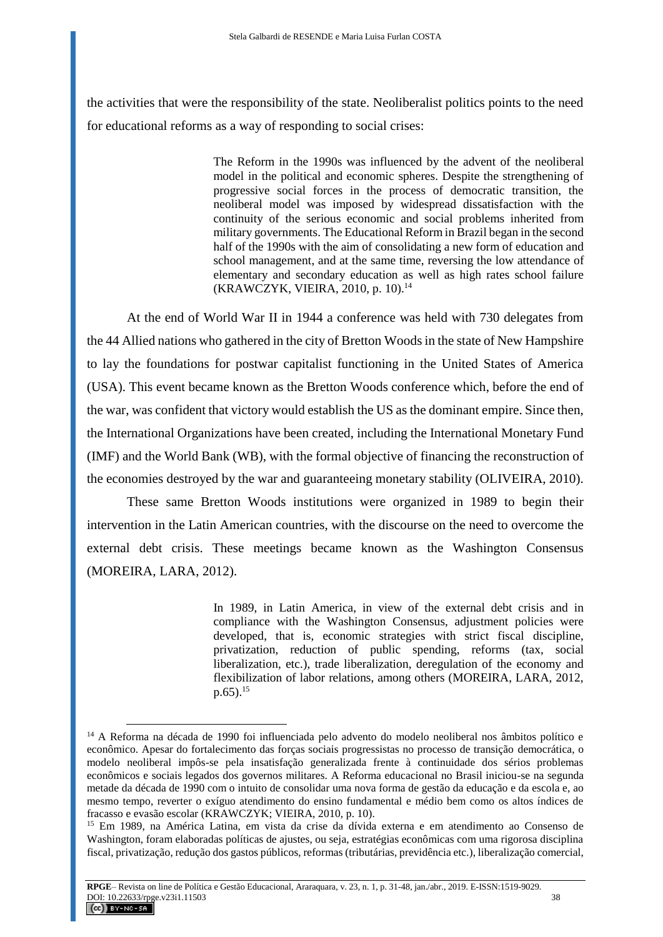the activities that were the responsibility of the state. Neoliberalist politics points to the need for educational reforms as a way of responding to social crises:

> The Reform in the 1990s was influenced by the advent of the neoliberal model in the political and economic spheres. Despite the strengthening of progressive social forces in the process of democratic transition, the neoliberal model was imposed by widespread dissatisfaction with the continuity of the serious economic and social problems inherited from military governments. The Educational Reform in Brazil began in the second half of the 1990s with the aim of consolidating a new form of education and school management, and at the same time, reversing the low attendance of elementary and secondary education as well as high rates school failure (KRAWCZYK, VIEIRA, 2010, p. 10).<sup>14</sup>

At the end of World War II in 1944 a conference was held with 730 delegates from the 44 Allied nations who gathered in the city of Bretton Woods in the state of New Hampshire to lay the foundations for postwar capitalist functioning in the United States of America (USA). This event became known as the Bretton Woods conference which, before the end of the war, was confident that victory would establish the US as the dominant empire. Since then, the International Organizations have been created, including the International Monetary Fund (IMF) and the World Bank (WB), with the formal objective of financing the reconstruction of the economies destroyed by the war and guaranteeing monetary stability (OLIVEIRA, 2010).

These same Bretton Woods institutions were organized in 1989 to begin their intervention in the Latin American countries, with the discourse on the need to overcome the external debt crisis. These meetings became known as the Washington Consensus (MOREIRA, LARA, 2012).

> In 1989, in Latin America, in view of the external debt crisis and in compliance with the Washington Consensus, adjustment policies were developed, that is, economic strategies with strict fiscal discipline, privatization, reduction of public spending, reforms (tax, social liberalization, etc.), trade liberalization, deregulation of the economy and flexibilization of labor relations, among others (MOREIRA, LARA, 2012,  $p.65$ ).<sup>15</sup>

<sup>14</sup> A Reforma na década de 1990 foi influenciada pelo advento do modelo neoliberal nos âmbitos político e econômico. Apesar do fortalecimento das forças sociais progressistas no processo de transição democrática, o modelo neoliberal impôs-se pela insatisfação generalizada frente à continuidade dos sérios problemas econômicos e sociais legados dos governos militares. A Reforma educacional no Brasil iniciou-se na segunda metade da década de 1990 com o intuito de consolidar uma nova forma de gestão da educação e da escola e, ao mesmo tempo, reverter o exíguo atendimento do ensino fundamental e médio bem como os altos índices de fracasso e evasão escolar (KRAWCZYK; VIEIRA, 2010, p. 10).

<sup>15</sup> Em 1989, na América Latina, em vista da crise da dívida externa e em atendimento ao Consenso de Washington, foram elaboradas políticas de ajustes, ou seja, estratégias econômicas com uma rigorosa disciplina fiscal, privatização, redução dos gastos públicos, reformas (tributárias, previdência etc.), liberalização comercial,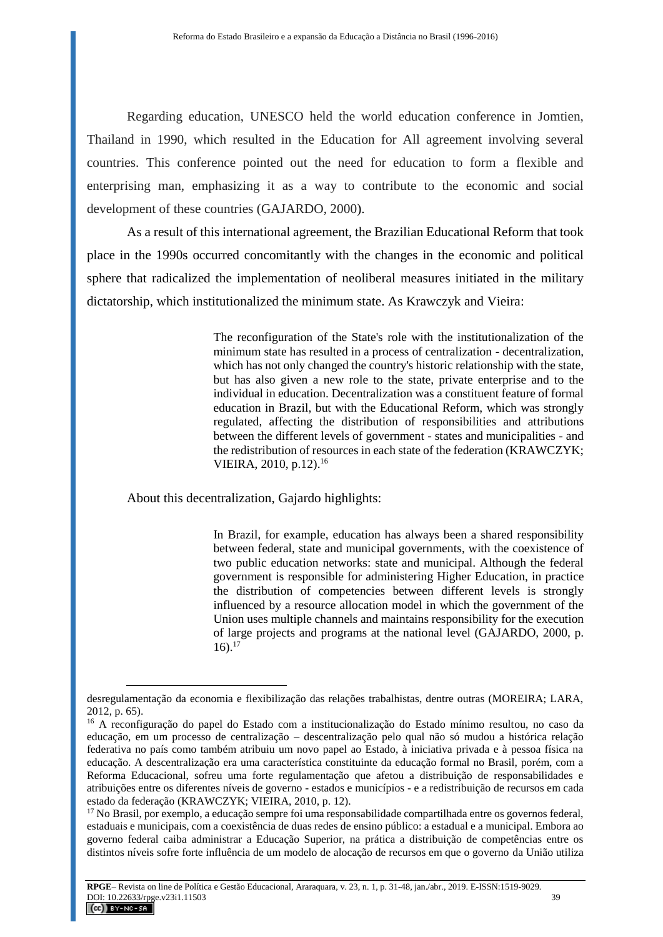Regarding education, UNESCO held the world education conference in Jomtien, Thailand in 1990, which resulted in the Education for All agreement involving several countries. This conference pointed out the need for education to form a flexible and enterprising man, emphasizing it as a way to contribute to the economic and social development of these countries (GAJARDO, 2000).

As a result of this international agreement, the Brazilian Educational Reform that took place in the 1990s occurred concomitantly with the changes in the economic and political sphere that radicalized the implementation of neoliberal measures initiated in the military dictatorship, which institutionalized the minimum state. As Krawczyk and Vieira:

> The reconfiguration of the State's role with the institutionalization of the minimum state has resulted in a process of centralization - decentralization, which has not only changed the country's historic relationship with the state, but has also given a new role to the state, private enterprise and to the individual in education. Decentralization was a constituent feature of formal education in Brazil, but with the Educational Reform, which was strongly regulated, affecting the distribution of responsibilities and attributions between the different levels of government - states and municipalities - and the redistribution of resources in each state of the federation (KRAWCZYK; VIEIRA, 2010, p.12).<sup>16</sup>

About this decentralization, Gajardo highlights:

 $\overline{a}$ 

In Brazil, for example, education has always been a shared responsibility between federal, state and municipal governments, with the coexistence of two public education networks: state and municipal. Although the federal government is responsible for administering Higher Education, in practice the distribution of competencies between different levels is strongly influenced by a resource allocation model in which the government of the Union uses multiple channels and maintains responsibility for the execution of large projects and programs at the national level (GAJARDO, 2000, p.  $16$ ).<sup>17</sup>

desregulamentação da economia e flexibilização das relações trabalhistas, dentre outras (MOREIRA; LARA, 2012, p. 65).

<sup>16</sup> A reconfiguração do papel do Estado com a institucionalização do Estado mínimo resultou, no caso da educação, em um processo de centralização – descentralização pelo qual não só mudou a histórica relação federativa no país como também atribuiu um novo papel ao Estado, à iniciativa privada e à pessoa física na educação. A descentralização era uma característica constituinte da educação formal no Brasil, porém, com a Reforma Educacional, sofreu uma forte regulamentação que afetou a distribuição de responsabilidades e atribuições entre os diferentes níveis de governo - estados e municípios - e a redistribuição de recursos em cada estado da federação (KRAWCZYK; VIEIRA, 2010, p. 12).

<sup>17</sup> No Brasil, por exemplo, a educação sempre foi uma responsabilidade compartilhada entre os governos federal, estaduais e municipais, com a coexistência de duas redes de ensino público: a estadual e a municipal. Embora ao governo federal caiba administrar a Educação Superior, na prática a distribuição de competências entre os distintos níveis sofre forte influência de um modelo de alocação de recursos em que o governo da União utiliza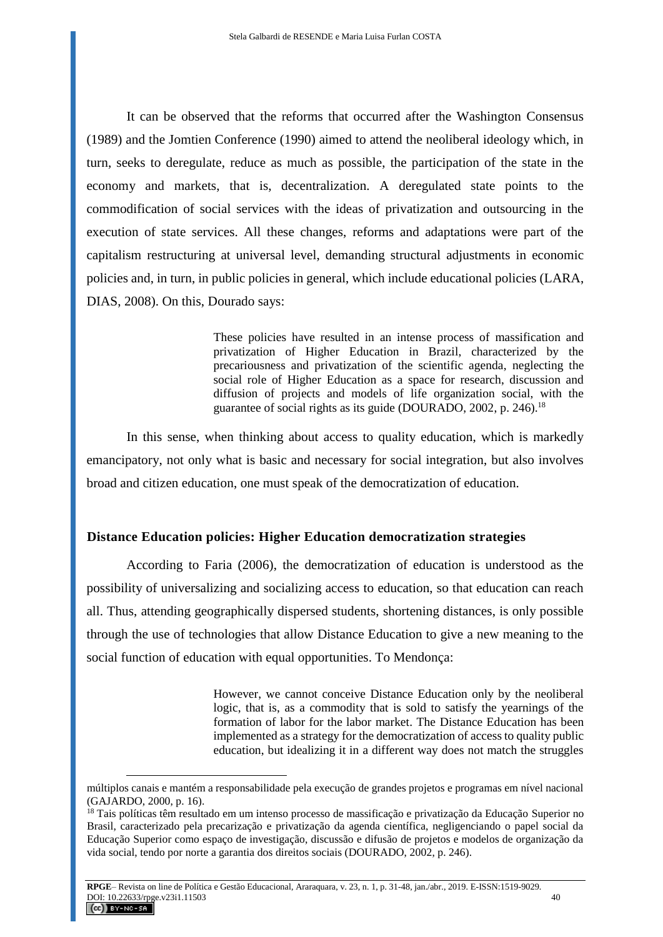It can be observed that the reforms that occurred after the Washington Consensus (1989) and the Jomtien Conference (1990) aimed to attend the neoliberal ideology which, in turn, seeks to deregulate, reduce as much as possible, the participation of the state in the economy and markets, that is, decentralization. A deregulated state points to the commodification of social services with the ideas of privatization and outsourcing in the execution of state services. All these changes, reforms and adaptations were part of the capitalism restructuring at universal level, demanding structural adjustments in economic policies and, in turn, in public policies in general, which include educational policies (LARA, DIAS, 2008). On this, Dourado says:

> These policies have resulted in an intense process of massification and privatization of Higher Education in Brazil, characterized by the precariousness and privatization of the scientific agenda, neglecting the social role of Higher Education as a space for research, discussion and diffusion of projects and models of life organization social, with the guarantee of social rights as its guide (DOURADO, 2002, p. 246).<sup>18</sup>

In this sense, when thinking about access to quality education, which is markedly emancipatory, not only what is basic and necessary for social integration, but also involves broad and citizen education, one must speak of the democratization of education.

#### **Distance Education policies: Higher Education democratization strategies**

According to Faria (2006), the democratization of education is understood as the possibility of universalizing and socializing access to education, so that education can reach all. Thus, attending geographically dispersed students, shortening distances, is only possible through the use of technologies that allow Distance Education to give a new meaning to the social function of education with equal opportunities. To Mendonça:

> However, we cannot conceive Distance Education only by the neoliberal logic, that is, as a commodity that is sold to satisfy the yearnings of the formation of labor for the labor market. The Distance Education has been implemented as a strategy for the democratization of access to quality public education, but idealizing it in a different way does not match the struggles

múltiplos canais e mantém a responsabilidade pela execução de grandes projetos e programas em nível nacional (GAJARDO, 2000, p. 16).

<sup>&</sup>lt;sup>18</sup> Tais políticas têm resultado em um intenso processo de massificação e privatização da Educação Superior no Brasil, caracterizado pela precarização e privatização da agenda científica, negligenciando o papel social da Educação Superior como espaço de investigação, discussão e difusão de projetos e modelos de organização da vida social, tendo por norte a garantia dos direitos sociais (DOURADO, 2002, p. 246).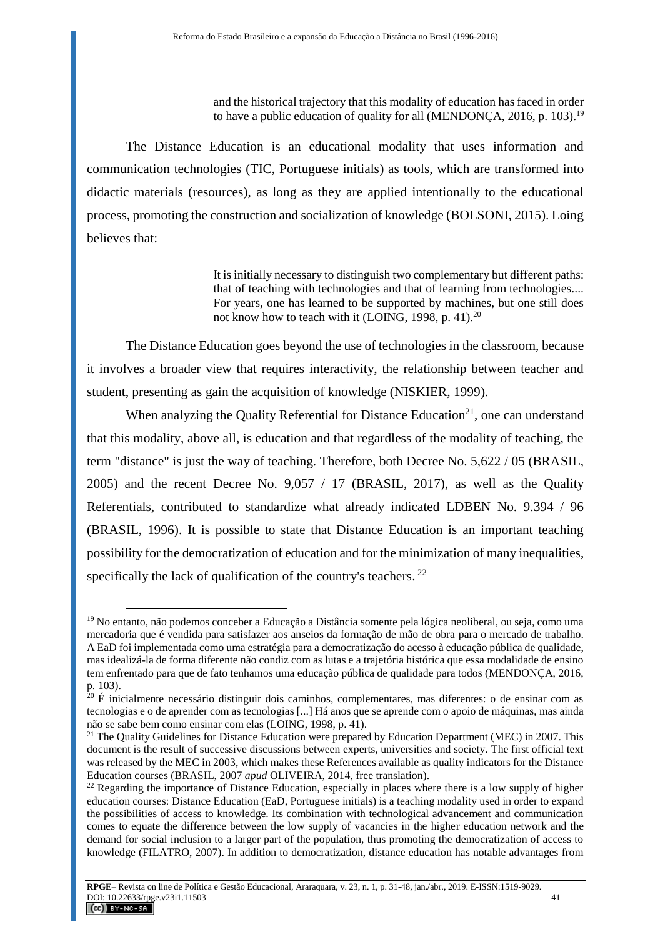and the historical trajectory that this modality of education has faced in order to have a public education of quality for all (MENDONCA, 2016, p. 103).<sup>19</sup>

The Distance Education is an educational modality that uses information and communication technologies (TIC, Portuguese initials) as tools, which are transformed into didactic materials (resources), as long as they are applied intentionally to the educational process, promoting the construction and socialization of knowledge (BOLSONI, 2015). Loing believes that:

> It is initially necessary to distinguish two complementary but different paths: that of teaching with technologies and that of learning from technologies.... For years, one has learned to be supported by machines, but one still does not know how to teach with it (LOING, 1998, p. 41). $^{20}$

The Distance Education goes beyond the use of technologies in the classroom, because it involves a broader view that requires interactivity, the relationship between teacher and student, presenting as gain the acquisition of knowledge (NISKIER, 1999).

When analyzing the Quality Referential for Distance Education<sup>21</sup>, one can understand that this modality, above all, is education and that regardless of the modality of teaching, the term "distance" is just the way of teaching. Therefore, both Decree No. 5,622 / 05 (BRASIL, 2005) and the recent Decree No. 9,057 / 17 (BRASIL, 2017), as well as the Quality Referentials, contributed to standardize what already indicated LDBEN No. 9.394 / 96 (BRASIL, 1996). It is possible to state that Distance Education is an important teaching possibility for the democratization of education and for the minimization of many inequalities, specifically the lack of qualification of the country's teachers.<sup>22</sup>

<sup>19</sup> No entanto, não podemos conceber a Educação a Distância somente pela lógica neoliberal, ou seja, como uma mercadoria que é vendida para satisfazer aos anseios da formação de mão de obra para o mercado de trabalho. A EaD foi implementada como uma estratégia para a democratização do acesso à educação pública de qualidade, mas idealizá-la de forma diferente não condiz com as lutas e a trajetória histórica que essa modalidade de ensino tem enfrentado para que de fato tenhamos uma educação pública de qualidade para todos (MENDONÇA, 2016, p. 103).

 $20 \text{ E}$  inicialmente necessário distinguir dois caminhos, complementares, mas diferentes: o de ensinar com as tecnologias e o de aprender com as tecnologias [...] Há anos que se aprende com o apoio de máquinas, mas ainda não se sabe bem como ensinar com elas (LOING, 1998, p. 41).

<sup>&</sup>lt;sup>21</sup> The Quality Guidelines for Distance Education were prepared by Education Department (MEC) in 2007. This document is the result of successive discussions between experts, universities and society. The first official text was released by the MEC in 2003, which makes these References available as quality indicators for the Distance Education courses (BRASIL, 2007 *apud* OLIVEIRA, 2014, free translation).

<sup>&</sup>lt;sup>22</sup> Regarding the importance of Distance Education, especially in places where there is a low supply of higher education courses: Distance Education (EaD, Portuguese initials) is a teaching modality used in order to expand the possibilities of access to knowledge. Its combination with technological advancement and communication comes to equate the difference between the low supply of vacancies in the higher education network and the demand for social inclusion to a larger part of the population, thus promoting the democratization of access to knowledge (FILATRO, 2007). In addition to democratization, distance education has notable advantages from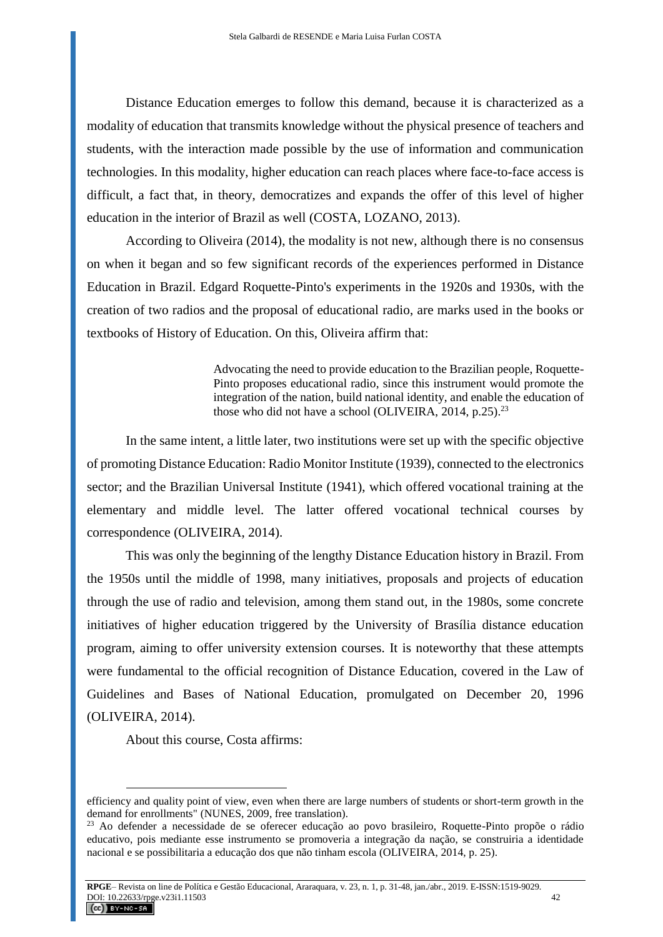Distance Education emerges to follow this demand, because it is characterized as a modality of education that transmits knowledge without the physical presence of teachers and students, with the interaction made possible by the use of information and communication technologies. In this modality, higher education can reach places where face-to-face access is difficult, a fact that, in theory, democratizes and expands the offer of this level of higher education in the interior of Brazil as well (COSTA, LOZANO, 2013).

According to Oliveira (2014), the modality is not new, although there is no consensus on when it began and so few significant records of the experiences performed in Distance Education in Brazil. Edgard Roquette-Pinto's experiments in the 1920s and 1930s, with the creation of two radios and the proposal of educational radio, are marks used in the books or textbooks of History of Education. On this, Oliveira affirm that:

> Advocating the need to provide education to the Brazilian people, Roquette-Pinto proposes educational radio, since this instrument would promote the integration of the nation, build national identity, and enable the education of those who did not have a school (OLIVEIRA,  $2014$ , p.25).<sup>23</sup>

In the same intent, a little later, two institutions were set up with the specific objective of promoting Distance Education: Radio Monitor Institute (1939), connected to the electronics sector; and the Brazilian Universal Institute (1941), which offered vocational training at the elementary and middle level. The latter offered vocational technical courses by correspondence (OLIVEIRA, 2014).

This was only the beginning of the lengthy Distance Education history in Brazil. From the 1950s until the middle of 1998, many initiatives, proposals and projects of education through the use of radio and television, among them stand out, in the 1980s, some concrete initiatives of higher education triggered by the University of Brasília distance education program, aiming to offer university extension courses. It is noteworthy that these attempts were fundamental to the official recognition of Distance Education, covered in the Law of Guidelines and Bases of National Education, promulgated on December 20, 1996 (OLIVEIRA, 2014).

About this course, Costa affirms:

efficiency and quality point of view, even when there are large numbers of students or short-term growth in the demand for enrollments" (NUNES, 2009, free translation).

<sup>23</sup> Ao defender a necessidade de se oferecer educação ao povo brasileiro, Roquette-Pinto propõe o rádio educativo, pois mediante esse instrumento se promoveria a integração da nação, se construiria a identidade nacional e se possibilitaria a educação dos que não tinham escola (OLIVEIRA, 2014, p. 25).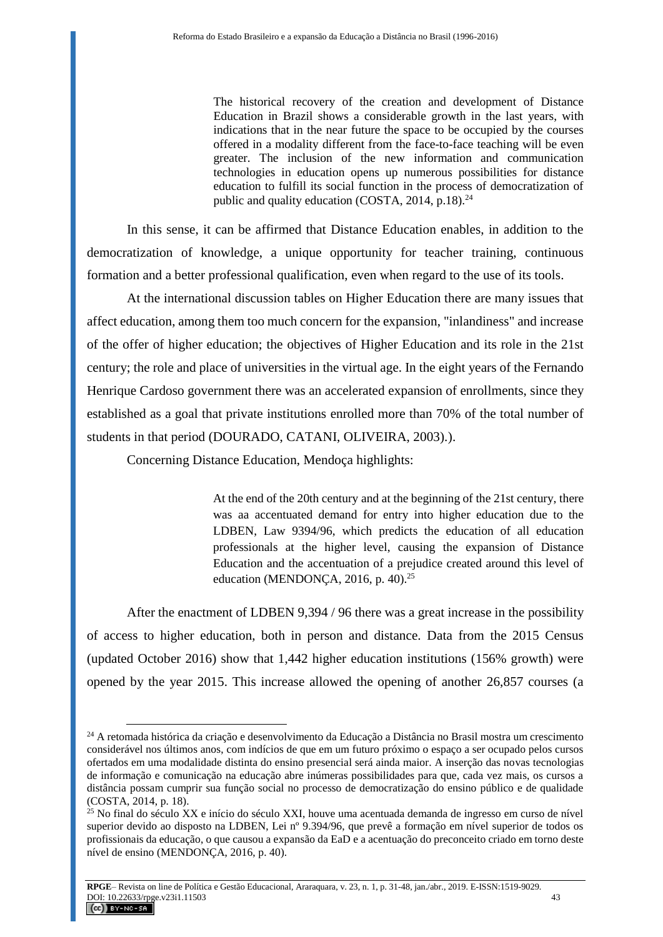The historical recovery of the creation and development of Distance Education in Brazil shows a considerable growth in the last years, with indications that in the near future the space to be occupied by the courses offered in a modality different from the face-to-face teaching will be even greater. The inclusion of the new information and communication technologies in education opens up numerous possibilities for distance education to fulfill its social function in the process of democratization of public and quality education (COSTA,  $2014$ ,  $p.18$ ).<sup>24</sup>

In this sense, it can be affirmed that Distance Education enables, in addition to the democratization of knowledge, a unique opportunity for teacher training, continuous formation and a better professional qualification, even when regard to the use of its tools.

At the international discussion tables on Higher Education there are many issues that affect education, among them too much concern for the expansion, "inlandiness" and increase of the offer of higher education; the objectives of Higher Education and its role in the 21st century; the role and place of universities in the virtual age. In the eight years of the Fernando Henrique Cardoso government there was an accelerated expansion of enrollments, since they established as a goal that private institutions enrolled more than 70% of the total number of students in that period (DOURADO, CATANI, OLIVEIRA, 2003).).

Concerning Distance Education, Mendoça highlights:

 $\overline{a}$ 

At the end of the 20th century and at the beginning of the 21st century, there was aa accentuated demand for entry into higher education due to the LDBEN, Law 9394/96, which predicts the education of all education professionals at the higher level, causing the expansion of Distance Education and the accentuation of a prejudice created around this level of education (MENDONÇA, 2016, p. 40).<sup>25</sup>

After the enactment of LDBEN 9,394 / 96 there was a great increase in the possibility of access to higher education, both in person and distance. Data from the 2015 Census (updated October 2016) show that 1,442 higher education institutions (156% growth) were opened by the year 2015. This increase allowed the opening of another 26,857 courses (a

<sup>24</sup> A retomada histórica da criação e desenvolvimento da Educação a Distância no Brasil mostra um crescimento considerável nos últimos anos, com indícios de que em um futuro próximo o espaço a ser ocupado pelos cursos ofertados em uma modalidade distinta do ensino presencial será ainda maior. A inserção das novas tecnologias de informação e comunicação na educação abre inúmeras possibilidades para que, cada vez mais, os cursos a distância possam cumprir sua função social no processo de democratização do ensino público e de qualidade (COSTA, 2014, p. 18).

<sup>&</sup>lt;sup>25</sup> No final do século XX e início do século XXI, houve uma acentuada demanda de ingresso em curso de nível superior devido ao disposto na LDBEN, Lei nº 9.394/96, que prevê a formação em nível superior de todos os profissionais da educação, o que causou a expansão da EaD e a acentuação do preconceito criado em torno deste nível de ensino (MENDONÇA, 2016, p. 40).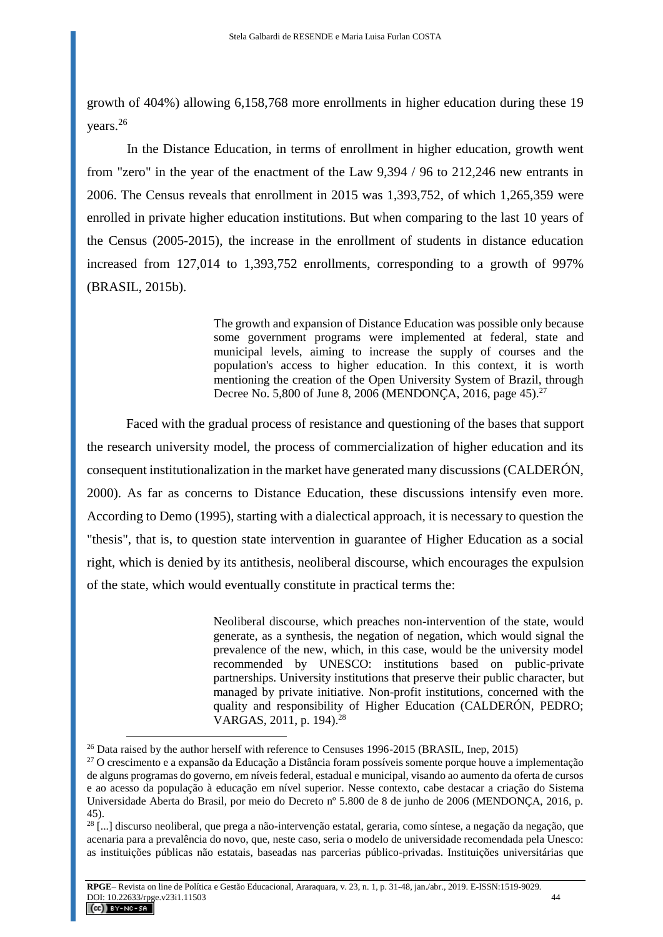growth of 404%) allowing 6,158,768 more enrollments in higher education during these 19 years. 26

In the Distance Education, in terms of enrollment in higher education, growth went from "zero" in the year of the enactment of the Law 9,394 / 96 to 212,246 new entrants in 2006. The Census reveals that enrollment in 2015 was 1,393,752, of which 1,265,359 were enrolled in private higher education institutions. But when comparing to the last 10 years of the Census (2005-2015), the increase in the enrollment of students in distance education increased from 127,014 to 1,393,752 enrollments, corresponding to a growth of 997% (BRASIL, 2015b).

> The growth and expansion of Distance Education was possible only because some government programs were implemented at federal, state and municipal levels, aiming to increase the supply of courses and the population's access to higher education. In this context, it is worth mentioning the creation of the Open University System of Brazil, through Decree No. 5,800 of June 8, 2006 (MENDONÇA, 2016, page 45).<sup>27</sup>

Faced with the gradual process of resistance and questioning of the bases that support the research university model, the process of commercialization of higher education and its consequent institutionalization in the market have generated many discussions (CALDERÓN, 2000). As far as concerns to Distance Education, these discussions intensify even more. According to Demo (1995), starting with a dialectical approach, it is necessary to question the "thesis", that is, to question state intervention in guarantee of Higher Education as a social right, which is denied by its antithesis, neoliberal discourse, which encourages the expulsion of the state, which would eventually constitute in practical terms the:

> Neoliberal discourse, which preaches non-intervention of the state, would generate, as a synthesis, the negation of negation, which would signal the prevalence of the new, which, in this case, would be the university model recommended by UNESCO: institutions based on public-private partnerships. University institutions that preserve their public character, but managed by private initiative. Non-profit institutions, concerned with the quality and responsibility of Higher Education (CALDERÓN, PEDRO; VARGAS,  $2011$ , p. 194).<sup>28</sup>

<sup>&</sup>lt;sup>26</sup> Data raised by the author herself with reference to Censuses 1996-2015 (BRASIL, Inep, 2015)

<sup>&</sup>lt;sup>27</sup> O crescimento e a expansão da Educação a Distância foram possíveis somente porque houve a implementação de alguns programas do governo, em níveis federal, estadual e municipal, visando ao aumento da oferta de cursos e ao acesso da população à educação em nível superior. Nesse contexto, cabe destacar a criação do Sistema Universidade Aberta do Brasil, por meio do Decreto nº 5.800 de 8 de junho de 2006 (MENDONÇA, 2016, p. 45).

<sup>&</sup>lt;sup>28</sup> [...] discurso neoliberal, que prega a não-intervenção estatal, geraria, como síntese, a negação da negação, que acenaria para a prevalência do novo, que, neste caso, seria o modelo de universidade recomendada pela Unesco: as instituições públicas não estatais, baseadas nas parcerias público-privadas. Instituições universitárias que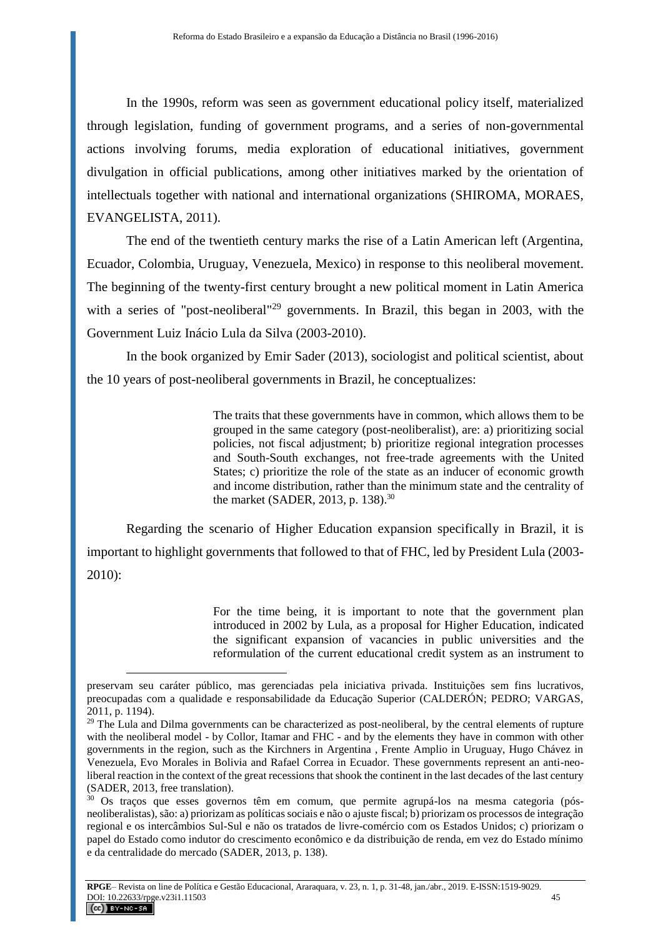In the 1990s, reform was seen as government educational policy itself, materialized through legislation, funding of government programs, and a series of non-governmental actions involving forums, media exploration of educational initiatives, government divulgation in official publications, among other initiatives marked by the orientation of intellectuals together with national and international organizations (SHIROMA, MORAES, EVANGELISTA, 2011).

The end of the twentieth century marks the rise of a Latin American left (Argentina, Ecuador, Colombia, Uruguay, Venezuela, Mexico) in response to this neoliberal movement. The beginning of the twenty-first century brought a new political moment in Latin America with a series of "post-neoliberal"<sup>29</sup> governments. In Brazil, this began in 2003, with the Government Luiz Inácio Lula da Silva (2003-2010).

In the book organized by Emir Sader (2013), sociologist and political scientist, about the 10 years of post-neoliberal governments in Brazil, he conceptualizes:

> The traits that these governments have in common, which allows them to be grouped in the same category (post-neoliberalist), are: a) prioritizing social policies, not fiscal adjustment; b) prioritize regional integration processes and South-South exchanges, not free-trade agreements with the United States; c) prioritize the role of the state as an inducer of economic growth and income distribution, rather than the minimum state and the centrality of the market (SADER, 2013, p. 138).<sup>30</sup>

Regarding the scenario of Higher Education expansion specifically in Brazil, it is important to highlight governments that followed to that of FHC, led by President Lula (2003- 2010):

> For the time being, it is important to note that the government plan introduced in 2002 by Lula, as a proposal for Higher Education, indicated the significant expansion of vacancies in public universities and the reformulation of the current educational credit system as an instrument to

preservam seu caráter público, mas gerenciadas pela iniciativa privada. Instituições sem fins lucrativos, preocupadas com a qualidade e responsabilidade da Educação Superior (CALDERÓN; PEDRO; VARGAS, 2011, p. 1194).

<sup>&</sup>lt;sup>29</sup> The Lula and Dilma governments can be characterized as post-neoliberal, by the central elements of rupture with the neoliberal model - by Collor, Itamar and FHC - and by the elements they have in common with other governments in the region, such as the Kirchners in Argentina , Frente Amplio in Uruguay, Hugo Chávez in Venezuela, Evo Morales in Bolivia and Rafael Correa in Ecuador. These governments represent an anti-neoliberal reaction in the context of the great recessions that shook the continent in the last decades of the last century (SADER, 2013, free translation).

<sup>&</sup>lt;sup>30</sup> Os traços que esses governos têm em comum, que permite agrupá-los na mesma categoria (pósneoliberalistas), são: a) priorizam as políticas sociais e não o ajuste fiscal; b) priorizam os processos de integração regional e os intercâmbios Sul-Sul e não os tratados de livre-comércio com os Estados Unidos; c) priorizam o papel do Estado como indutor do crescimento econômico e da distribuição de renda, em vez do Estado mínimo e da centralidade do mercado (SADER, 2013, p. 138).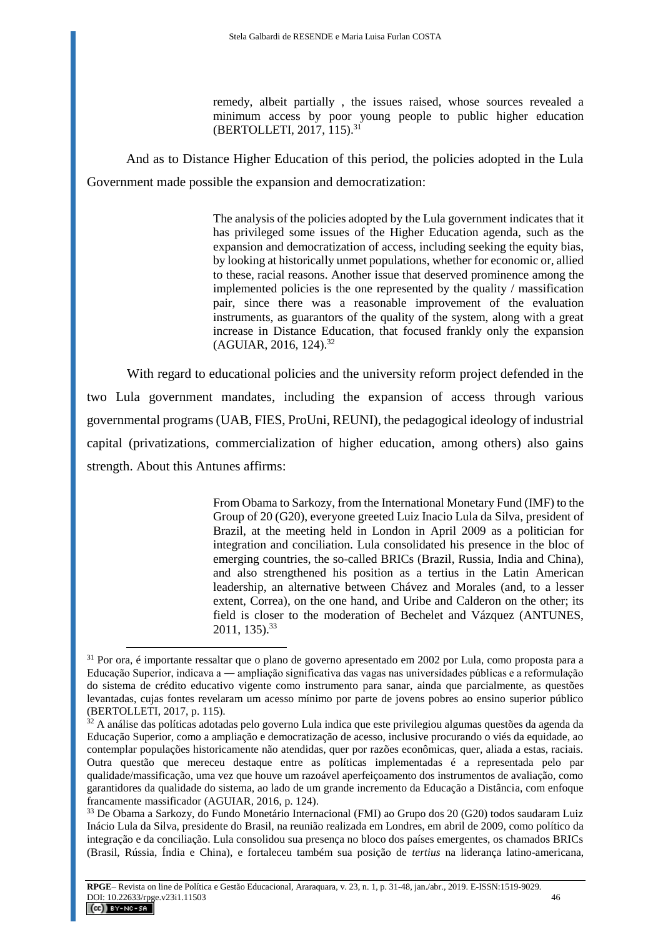remedy, albeit partially , the issues raised, whose sources revealed a minimum access by poor young people to public higher education (BERTOLLETI, 2017, 115).<sup>31</sup>

And as to Distance Higher Education of this period, the policies adopted in the Lula Government made possible the expansion and democratization:

> The analysis of the policies adopted by the Lula government indicates that it has privileged some issues of the Higher Education agenda, such as the expansion and democratization of access, including seeking the equity bias, by looking at historically unmet populations, whether for economic or, allied to these, racial reasons. Another issue that deserved prominence among the implemented policies is the one represented by the quality / massification pair, since there was a reasonable improvement of the evaluation instruments, as guarantors of the quality of the system, along with a great increase in Distance Education, that focused frankly only the expansion (AGUIAR, 2016, 124).<sup>32</sup>

With regard to educational policies and the university reform project defended in the two Lula government mandates, including the expansion of access through various governmental programs (UAB, FIES, ProUni, REUNI), the pedagogical ideology of industrial capital (privatizations, commercialization of higher education, among others) also gains strength. About this Antunes affirms:

> From Obama to Sarkozy, from the International Monetary Fund (IMF) to the Group of 20 (G20), everyone greeted Luiz Inacio Lula da Silva, president of Brazil, at the meeting held in London in April 2009 as a politician for integration and conciliation. Lula consolidated his presence in the bloc of emerging countries, the so-called BRICs (Brazil, Russia, India and China), and also strengthened his position as a tertius in the Latin American leadership, an alternative between Chávez and Morales (and, to a lesser extent, Correa), on the one hand, and Uribe and Calderon on the other; its field is closer to the moderation of Bechelet and Vázquez (ANTUNES, 2011, 135).<sup>33</sup>

<sup>31</sup> Por ora, é importante ressaltar que o plano de governo apresentado em 2002 por Lula, como proposta para a Educação Superior, indicava a ― ampliação significativa das vagas nas universidades públicas e a reformulação do sistema de crédito educativo vigente como instrumento para sanar, ainda que parcialmente, as questões levantadas, cujas fontes revelaram um acesso mínimo por parte de jovens pobres ao ensino superior público (BERTOLLETI, 2017, p. 115).

 $32$  A análise das políticas adotadas pelo governo Lula indica que este privilegiou algumas questões da agenda da Educação Superior, como a ampliação e democratização de acesso, inclusive procurando o viés da equidade, ao contemplar populações historicamente não atendidas, quer por razões econômicas, quer, aliada a estas, raciais. Outra questão que mereceu destaque entre as políticas implementadas é a representada pelo par qualidade/massificação, uma vez que houve um razoável aperfeiçoamento dos instrumentos de avaliação, como garantidores da qualidade do sistema, ao lado de um grande incremento da Educação a Distância, com enfoque francamente massificador (AGUIAR, 2016, p. 124).

<sup>33</sup> De Obama a Sarkozy, do Fundo Monetário Internacional (FMI) ao Grupo dos 20 (G20) todos saudaram Luiz Inácio Lula da Silva, presidente do Brasil, na reunião realizada em Londres, em abril de 2009, como político da integração e da conciliação. Lula consolidou sua presença no bloco dos países emergentes, os chamados BRICs (Brasil, Rússia, Índia e China), e fortaleceu também sua posição de *tertius* na liderança latino-americana,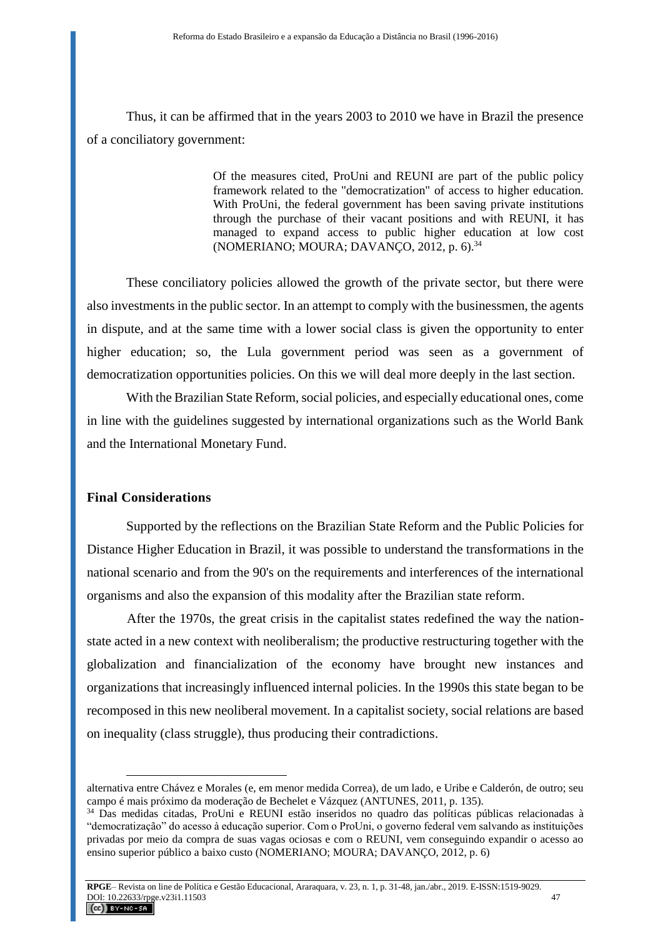Thus, it can be affirmed that in the years 2003 to 2010 we have in Brazil the presence of a conciliatory government:

> Of the measures cited, ProUni and REUNI are part of the public policy framework related to the "democratization" of access to higher education. With ProUni, the federal government has been saving private institutions through the purchase of their vacant positions and with REUNI, it has managed to expand access to public higher education at low cost (NOMERIANO; MOURA; DAVANÇO, 2012, p.  $6$ ).<sup>34</sup>

These conciliatory policies allowed the growth of the private sector, but there were also investments in the public sector. In an attempt to comply with the businessmen, the agents in dispute, and at the same time with a lower social class is given the opportunity to enter higher education; so, the Lula government period was seen as a government of democratization opportunities policies. On this we will deal more deeply in the last section.

With the Brazilian State Reform, social policies, and especially educational ones, come in line with the guidelines suggested by international organizations such as the World Bank and the International Monetary Fund.

### **Final Considerations**

 $\overline{a}$ 

Supported by the reflections on the Brazilian State Reform and the Public Policies for Distance Higher Education in Brazil, it was possible to understand the transformations in the national scenario and from the 90's on the requirements and interferences of the international organisms and also the expansion of this modality after the Brazilian state reform.

After the 1970s, the great crisis in the capitalist states redefined the way the nationstate acted in a new context with neoliberalism; the productive restructuring together with the globalization and financialization of the economy have brought new instances and organizations that increasingly influenced internal policies. In the 1990s this state began to be recomposed in this new neoliberal movement. In a capitalist society, social relations are based on inequality (class struggle), thus producing their contradictions.

alternativa entre Chávez e Morales (e, em menor medida Correa), de um lado, e Uribe e Calderón, de outro; seu campo é mais próximo da moderação de Bechelet e Vázquez (ANTUNES, 2011, p. 135).

<sup>34</sup> Das medidas citadas, ProUni e REUNI estão inseridos no quadro das políticas públicas relacionadas à "democratização" do acesso à educação superior. Com o ProUni, o governo federal vem salvando as instituições privadas por meio da compra de suas vagas ociosas e com o REUNI, vem conseguindo expandir o acesso ao ensino superior público a baixo custo (NOMERIANO; MOURA; DAVANÇO, 2012, p. 6)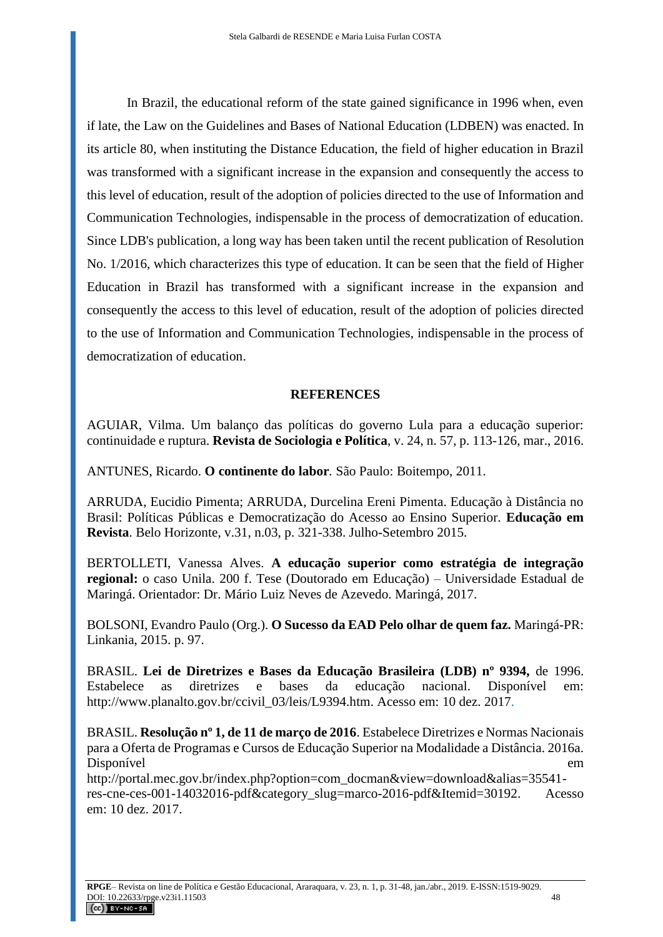In Brazil, the educational reform of the state gained significance in 1996 when, even if late, the Law on the Guidelines and Bases of National Education (LDBEN) was enacted. In its article 80, when instituting the Distance Education, the field of higher education in Brazil was transformed with a significant increase in the expansion and consequently the access to this level of education, result of the adoption of policies directed to the use of Information and Communication Technologies, indispensable in the process of democratization of education. Since LDB's publication, a long way has been taken until the recent publication of Resolution No. 1/2016, which characterizes this type of education. It can be seen that the field of Higher Education in Brazil has transformed with a significant increase in the expansion and consequently the access to this level of education, result of the adoption of policies directed to the use of Information and Communication Technologies, indispensable in the process of democratization of education.

## **REFERENCES**

AGUIAR, Vilma. Um balanço das políticas do governo Lula para a educação superior: continuidade e ruptura. **Revista de Sociologia e Política**, v. 24, n. 57, p. 113-126, mar., 2016.

ANTUNES, Ricardo. **O continente do labor***.* São Paulo: Boitempo, 2011.

ARRUDA, Eucidio Pimenta; ARRUDA, Durcelina Ereni Pimenta. Educação à Distância no Brasil: Políticas Públicas e Democratização do Acesso ao Ensino Superior. **Educação em Revista**. Belo Horizonte, v.31, n.03, p. 321-338. Julho-Setembro 2015.

BERTOLLETI, Vanessa Alves. **A educação superior como estratégia de integração regional:** o caso Unila. 200 f. Tese (Doutorado em Educação) – Universidade Estadual de Maringá. Orientador: Dr. Mário Luiz Neves de Azevedo. Maringá, 2017.

BOLSONI, Evandro Paulo (Org.). **O Sucesso da EAD Pelo olhar de quem faz.** Maringá-PR: Linkania, 2015. p. 97.

BRASIL. **Lei de Diretrizes e Bases da Educação Brasileira (LDB) nº 9394,** de 1996. Estabelece as diretrizes e bases da educação nacional. Disponível em: [http://www.planalto.gov.br/ccivil\\_03/leis/L9394.htm.](http://www.planalto.gov.br/ccivil_03/leis/L9394.htm) Acesso em: 10 dez. 2017.

BRASIL. **Resolução nº 1, de 11 de março de 2016**. Estabelece Diretrizes e Normas Nacionais para a Oferta de Programas e Cursos de Educação Superior na Modalidade a Distância. 2016a. Disponível em

[http://portal.mec.gov.br/index.php?option=com\\_docman&view=download&alias=35541](http://portal.mec.gov.br/index.php?option=com_docman&view=download&alias=35541-res-cne-ces-001-14032016-pdf&category_slug=marco-2016-pdf&Itemid=30192) [res-cne-ces-001-14032016-pdf&category\\_slug=marco-2016-pdf&Itemid=30192.](http://portal.mec.gov.br/index.php?option=com_docman&view=download&alias=35541-res-cne-ces-001-14032016-pdf&category_slug=marco-2016-pdf&Itemid=30192) Acesso em: 10 dez. 2017.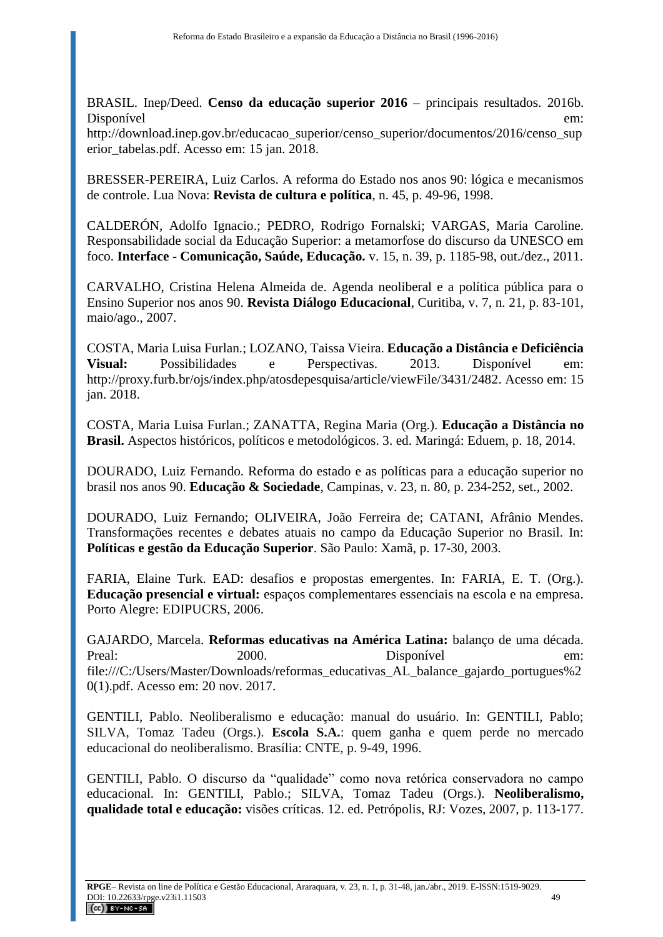BRASIL. Inep/Deed. **Censo da educação superior 2016** – principais resultados. 2016b. Disponível em[:](http://download.inep.gov.br/educacao_superior/censo_superior/documentos/2016/censo_superior_tabelas.pdf)

[http://download.inep.gov.br/educacao\\_superior/censo\\_superior/documentos/2016/censo\\_sup](http://download.inep.gov.br/educacao_superior/censo_superior/documentos/2016/censo_superior_tabelas.pdf) [erior\\_tabelas.pdf.](http://download.inep.gov.br/educacao_superior/censo_superior/documentos/2016/censo_superior_tabelas.pdf) Acesso em: 15 jan. 2018.

BRESSER-PEREIRA, Luiz Carlos. A reforma do Estado nos anos 90: lógica e mecanismos de controle. Lua Nova: **Revista de cultura e política**, n. 45, p. 49-96, 1998.

CALDERÓN, Adolfo Ignacio.; PEDRO, Rodrigo Fornalski; VARGAS, Maria Caroline. Responsabilidade social da Educação Superior: a metamorfose do discurso da UNESCO em foco. **Interface - Comunicação, Saúde, Educação.** v. 15, n. 39, p. 1185-98, out./dez., 2011.

CARVALHO, Cristina Helena Almeida de. Agenda neoliberal e a política pública para o Ensino Superior nos anos 90. **Revista Diálogo Educacional**, Curitiba, v. 7, n. 21, p. 83-101, maio/ago., 2007.

COSTA, Maria Luisa Furlan.; LOZANO, Taissa Vieira. **Educação a Distância e Deficiência Visual:** Possibilidades e Perspectivas. 2013. Disponível em: [http://proxy.furb.br/ojs/index.php/atosdepesquisa/article/viewFile/3431/2482.](http://proxy.furb.br/ojs/index.php/atosdepesquisa/article/viewFile/3431/2482) Acesso em: 15 jan. 2018.

COSTA, Maria Luisa Furlan.; ZANATTA, Regina Maria (Org.). **Educação a Distância no Brasil.** Aspectos históricos, políticos e metodológicos. 3. ed. Maringá: Eduem, p. 18, 2014.

DOURADO, Luiz Fernando. Reforma do estado e as políticas para a educação superior no brasil nos anos 90. **Educação & Sociedade**, Campinas, v. 23, n. 80, p. 234-252, set., 2002.

DOURADO, Luiz Fernando; OLIVEIRA, João Ferreira de; CATANI, Afrânio Mendes. Transformações recentes e debates atuais no campo da Educação Superior no Brasil. In: **Políticas e gestão da Educação Superior**. São Paulo: Xamã, p. 17-30, 2003.

FARIA, Elaine Turk. EAD: desafios e propostas emergentes. In: FARIA, E. T. (Org.). **Educação presencial e virtual:** espaços complementares essenciais na escola e na empresa. Porto Alegre: EDIPUCRS, 2006.

GAJARDO, Marcela. **Reformas educativas na América Latina:** balanço de uma década. Preal: 2000. Disponível em: file:///C:/Users/Master/Downloads/reformas\_educativas\_AL\_balance\_gajardo\_portugues%2 0(1).pdf. Acesso em: 20 nov. 2017.

GENTILI, Pablo. Neoliberalismo e educação: manual do usuário. In: GENTILI, Pablo; SILVA, Tomaz Tadeu (Orgs.). **Escola S.A.**: quem ganha e quem perde no mercado educacional do neoliberalismo. Brasília: CNTE, p. 9-49, 1996.

GENTILI, Pablo. O discurso da "qualidade" como nova retórica conservadora no campo educacional. In: GENTILI, Pablo.; SILVA, Tomaz Tadeu (Orgs.). **Neoliberalismo, qualidade total e educação:** visões críticas. 12. ed. Petrópolis, RJ: Vozes, 2007, p. 113-177.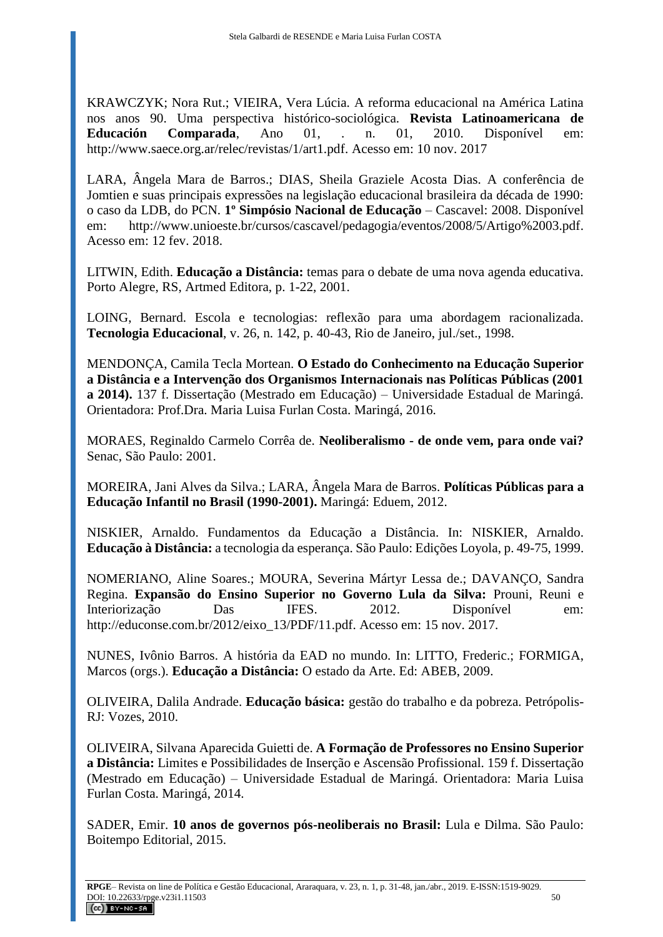KRAWCZYK; Nora Rut.; VIEIRA, Vera Lúcia. A reforma educacional na América Latina nos anos 90. Uma perspectiva histórico-sociológica. **Revista Latinoamericana de Educación Comparada**, Ano 01, . n. 01, 2010. Disponível em: [http://www.saece.org.ar/relec/revistas/1/art1.pdf.](http://www.saece.org.ar/relec/revistas/1/art1.pdf) Acesso em: 10 nov. 2017

LARA, Ângela Mara de Barros.; DIAS, Sheila Graziele Acosta Dias. A conferência de Jomtien e suas principais expressões na legislação educacional brasileira da década de 1990: o caso da LDB, do PCN. **1º Simpósio Nacional de Educação** – Cascavel: 2008. Disponível em: [http://www.unioeste.br/cursos/cascavel/pedagogia/eventos/2008/5/Artigo%2003.pdf.](http://www.unioeste.br/cursos/cascavel/pedagogia/eventos/2008/5/Artigo%2003.pdf) Acesso em: 12 fev. 2018.

LITWIN, Edith. **Educação a Distância:** temas para o debate de uma nova agenda educativa. Porto Alegre, RS, Artmed Editora, p. 1-22, 2001.

LOING, Bernard. Escola e tecnologias: reflexão para uma abordagem racionalizada. **Tecnologia Educacional**, v. 26, n. 142, p. 40-43, Rio de Janeiro, jul./set., 1998.

MENDONÇA, Camila Tecla Mortean. **O Estado do Conhecimento na Educação Superior a Distância e a Intervenção dos Organismos Internacionais nas Políticas Públicas (2001 a 2014).** 137 f. Dissertação (Mestrado em Educação) – Universidade Estadual de Maringá. Orientadora: Prof.Dra. Maria Luisa Furlan Costa. Maringá, 2016.

MORAES, Reginaldo Carmelo Corrêa de. **Neoliberalismo - de onde vem, para onde vai?** Senac, São Paulo: 2001.

MOREIRA, Jani Alves da Silva.; LARA, Ângela Mara de Barros. **Políticas Públicas para a Educação Infantil no Brasil (1990-2001).** Maringá: Eduem, 2012.

NISKIER, Arnaldo. Fundamentos da Educação a Distância. In: NISKIER, Arnaldo. **Educação à Distância:** a tecnologia da esperança. São Paulo: Edições Loyola, p. 49-75, 1999.

NOMERIANO, Aline Soares.; MOURA, Severina Mártyr Lessa de.; DAVANÇO, Sandra Regina. **Expansão do Ensino Superior no Governo Lula da Silva:** Prouni, Reuni e Interiorização Das IFES. 2012. Disponível em: http://educonse.com.br/2012/eixo\_13/PDF/11.pdf. Acesso em: 15 nov. 2017.

NUNES, Ivônio Barros. A história da EAD no mundo. In: LITTO, Frederic.; FORMIGA, Marcos (orgs.). **Educação a Distância:** O estado da Arte. Ed: ABEB, 2009.

OLIVEIRA, Dalila Andrade. **Educação básica:** gestão do trabalho e da pobreza. Petrópolis-RJ: Vozes, 2010.

OLIVEIRA, Silvana Aparecida Guietti de. **A Formação de Professores no Ensino Superior a Distância:** Limites e Possibilidades de Inserção e Ascensão Profissional. 159 f. Dissertação (Mestrado em Educação) – Universidade Estadual de Maringá. Orientadora: Maria Luisa Furlan Costa. Maringá, 2014.

SADER, Emir. **10 anos de governos pós-neoliberais no Brasil:** Lula e Dilma. São Paulo: Boitempo Editorial, 2015.